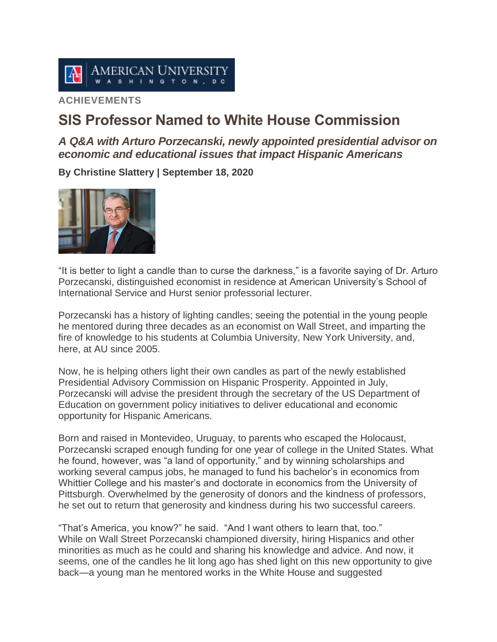

# **ACHIEVEMENTS**

# **SIS Professor Named to White House Commission**

*A Q&A with Arturo Porzecanski, newly appointed presidential advisor on economic and educational issues that impact Hispanic Americans*

**By Christine Slattery | September 18, 2020**



"It is better to light a candle than to curse the darkness," is a favorite saying of Dr. Arturo Porzecanski, distinguished economist in residence at American University's School of International Service and Hurst senior professorial lecturer.

Porzecanski has a history of lighting candles; seeing the potential in the young people he mentored during three decades as an economist on Wall Street, and imparting the fire of knowledge to his students at Columbia University, New York University, and, here, at AU since 2005.

Now, he is helping others light their own candles as part of the newly established Presidential Advisory Commission on Hispanic Prosperity. Appointed in July, Porzecanski will advise the president through the secretary of the US Department of Education on government policy initiatives to deliver educational and economic opportunity for Hispanic Americans.

Born and raised in Montevideo, Uruguay, to parents who escaped the Holocaust, Porzecanski scraped enough funding for one year of college in the United States. What he found, however, was "a land of opportunity," and by winning scholarships and working several campus jobs, he managed to fund his bachelor's in economics from Whittier College and his master's and doctorate in economics from the University of Pittsburgh. Overwhelmed by the generosity of donors and the kindness of professors, he set out to return that generosity and kindness during his two successful careers.

"That's America, you know?" he said. "And I want others to learn that, too." While on Wall Street Porzecanski championed diversity, hiring Hispanics and other minorities as much as he could and sharing his knowledge and advice. And now, it seems, one of the candles he lit long ago has shed light on this new opportunity to give back—a young man he mentored works in the White House and suggested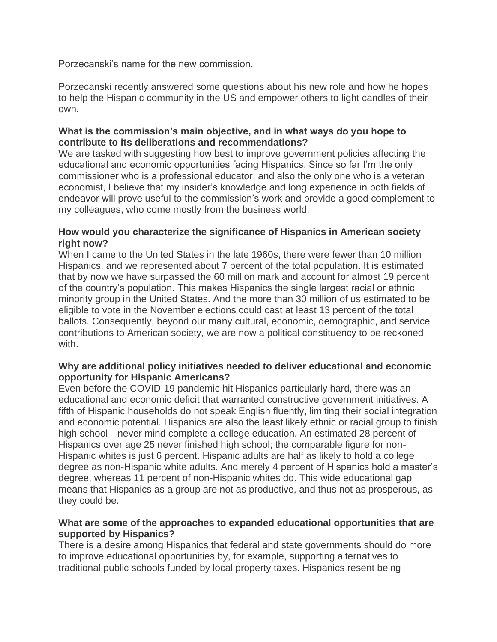Porzecanski's name for the new commission.

Porzecanski recently answered some questions about his new role and how he hopes to help the Hispanic community in the US and empower others to light candles of their own.

## **What is the commission's main objective, and in what ways do you hope to contribute to its deliberations and recommendations?**

We are tasked with suggesting how best to improve government policies affecting the educational and economic opportunities facing Hispanics. Since so far I'm the only commissioner who is a professional educator, and also the only one who is a veteran economist, I believe that my insider's knowledge and long experience in both fields of endeavor will prove useful to the commission's work and provide a good complement to my colleagues, who come mostly from the business world.

## **How would you characterize the significance of Hispanics in American society right now?**

When I came to the United States in the late 1960s, there were fewer than 10 million Hispanics, and we represented about 7 percent of the total population. It is estimated that by now we have surpassed the 60 million mark and account for almost 19 percent of the country's population. This makes Hispanics the single largest racial or ethnic minority group in the United States. And the more than 30 million of us estimated to be eligible to vote in the November elections could cast at least 13 percent of the total ballots. Consequently, beyond our many cultural, economic, demographic, and service contributions to American society, we are now a political constituency to be reckoned with.

# **Why are additional policy initiatives needed to deliver educational and economic opportunity for Hispanic Americans?**

Even before the COVID-19 pandemic hit Hispanics particularly hard, there was an educational and economic deficit that warranted constructive government initiatives. A fifth of Hispanic households do not speak English fluently, limiting their social integration and economic potential. Hispanics are also the least likely ethnic or racial group to finish high school—never mind complete a college education. An estimated 28 percent of Hispanics over age 25 never finished high school; the comparable figure for non-Hispanic whites is just 6 percent. Hispanic adults are half as likely to hold a college degree as non-Hispanic white adults. And merely 4 percent of Hispanics hold a master's degree, whereas 11 percent of non-Hispanic whites do. This wide educational gap means that Hispanics as a group are not as productive, and thus not as prosperous, as they could be.

## **What are some of the approaches to expanded educational opportunities that are supported by Hispanics?**

There is a desire among Hispanics that federal and state governments should do more to improve educational opportunities by, for example, supporting alternatives to traditional public schools funded by local property taxes. Hispanics resent being